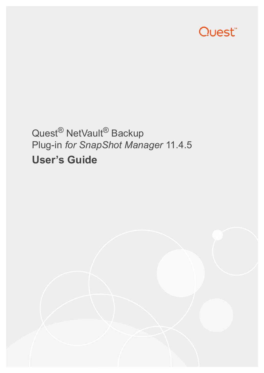

# Quest<sup>®</sup> NetVault<sup>®</sup> Backup Plug-in *for SnapShot Manager* 11.4.5 **User's Guide**

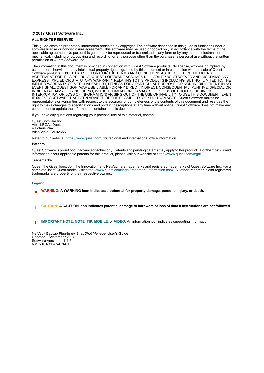#### **© 2017 Quest Software Inc.**

#### **ALL RIGHTS RESERVED.**

This guide contains proprietary information protected by copyright. The software described in this guide is furnished under a software license or nondisclosure agreement. This software may be used or copied only in accordance with the terms of the applicable agreement. No part of this guide may be reproduced or transmitted in any form or by any means, electronic or mechanical, including photocopying and recording for any purpose other than the purchaser's personal use without the written permission of Quest Software Inc.

The information in this document is provided in connection with Quest Software products. No license, express or implied, by estoppel or otherwise, to any intellectual property right is granted by this document or in connection with the sale of Quest<br>Software products. EXCEPT AS SET FORTH IN THE TERMS AND CONDITIONS AS SPECIFIED IN THE LICENSE<br>A EXPRESS, IMPLIED OR STATUTORY WARRANTY RELATING TO ITS PRODUCTS INCLUDING, BUT NOT LIMITED TO, THE IMPLIED WARRANTY OF MERCHANTABILITY, FITNESS FOR A PARTICULAR PURPOSE, OR NON-INFRINGEMENT. IN NO EVENT SHALL QUEST SOFTWARE BE LIABLE FOR ANY DIRECT, INDIRECT, CONSEQUENTIAL, PUNITIVE, SPECIAL OR INCIDENTAL DAMAGES (INCLUDING, WITHOUT LIMITATION, DAMAGES FOR LOSS OF PROFITS, BUSINESS<br>INTERRUPTION OR LOSS OF INFORMATION) ARISING OUT OF THE USE OR INABILITY TO USE THIS DOCUMENT, EVEN IF QUEST SOFTWARE HAS BEEN ADVISED OF THE POSSIBILITY OF SUCH DAMAGES. Quest Software makes no representations or warranties with respect to the accuracy or completeness of the contents of this document and reserves the right to make changes to specifications and product descriptions at any time without notice. Quest Software does not make any commitment to update the information contained in this document.

If you have any questions regarding your potential use of this material, contact:

Quest Software Inc. Attn: LEGAL Dept. 4 Polaris Way Aliso Viejo, CA 92656

Refer to our website [\(https://www.quest.com](https://www.quest.com)) for regional and international office information.

#### **Patents**

Quest Software is proud of our advanced technology. Patents and pending patents may apply to this product. For the most current information about applicable patents for this product, please visit our website at [https://www.quest.com/legal.](https://www.quest.com/legal)

#### **Trademarks**

Quest, the Quest logo, Join the Innovation, and NetVault are trademarks and registered trademarks of Quest Software Inc. For a complete list of Quest marks, visit [https://www.quest.com/legal/trademark-information.aspx.](https://www.quest.com/legal/trademark-information.aspx) All other trademarks and registered trademarks are property of their respective owners.

#### **Legend**

- **WARNING: A WARNING icon indicates a potential for property damage, personal injury, or death.**
- **CAUTION: A CAUTION icon indicates potential damage to hardware or loss of data if instructions are not followed.** Ţ
- **IMPORTANT NOTE**, **NOTE**, **TIP**, **MOBILE**, or **VIDEO:** An information icon indicates supporting information.f.

NetVault Backup Plug-in *for SnapShot Manager* User's Guide Updated - September 2017 Software Version - 11.4.5 NMG-101-11.4.5-EN-01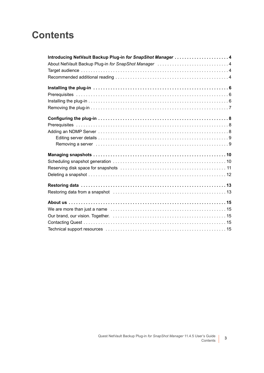### **Contents**

| Introducing NetVault Backup Plug-in for SnapShot Manager  4 |
|-------------------------------------------------------------|
|                                                             |
|                                                             |
|                                                             |
|                                                             |
|                                                             |
|                                                             |
|                                                             |
|                                                             |
|                                                             |
|                                                             |
|                                                             |
|                                                             |
|                                                             |
|                                                             |
|                                                             |
|                                                             |
|                                                             |
|                                                             |
|                                                             |
|                                                             |
|                                                             |
|                                                             |
|                                                             |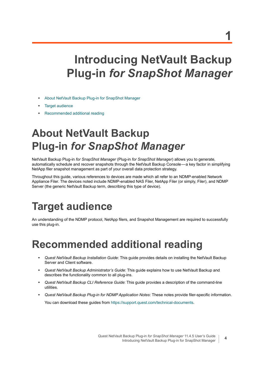# <span id="page-3-0"></span>**Introducing NetVault Backup Plug-in** *for SnapShot Manager*

- **•** [About NetVault Backup Plug-in for SnapShot Manager](#page-3-1)
- **•** [Target audience](#page-3-2)
- **•** [Recommended additional reading](#page-3-3)

# <span id="page-3-1"></span>**About NetVault Backup Plug-in** *for SnapShot Manager*

NetVault Backup Plug-in *for SnapShot Manager* (Plug-in *for SnapShot Manager*) allows you to generate, automatically schedule and recover snapshots through the NetVault Backup Console — a key factor in simplifying NetApp filer snapshot management as part of your overall data protection strategy.

Throughout this guide, various references to devices are made which all refer to an NDMP-enabled Network Appliance Filer. The devices noted include NDMP-enabled NAS Filer, NetApp Filer (or simply, Filer), and NDMP Server (the generic NetVault Backup term, describing this type of device).

# <span id="page-3-2"></span>**Target audience**

An understanding of the NDMP protocol, NetApp filers, and Snapshot Management are required to successfully use this plug-in.

### <span id="page-3-3"></span>**Recommended additional reading**

- **•** *Quest NetVault Backup Installation Guide*: This guide provides details on installing the NetVault Backup Server and Client software.
- **•** *Quest NetVault Backup Administrator's Guide*: This guide explains how to use NetVault Backup and describes the functionality common to all plug-ins.
- **•** *Quest NetVault Backup CLI Reference Guide*: This guide provides a description of the command-line utilities.
- **•** *Quest NetVault Backup Plug-in for NDMP Application Notes*: These notes provide filer-specific information. You can download these guides from<https://support.quest.com/technical-documents>.

**1**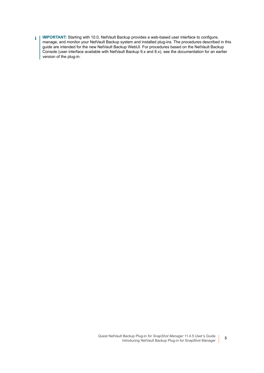**IMPORTANT:** Starting with 10.0, NetVault Backup provides a web-based user interface to configure,  $\ddot{\mathbf{i}}$ manage, and monitor your NetVault Backup system and installed plug-ins. The procedures described in this guide are intended for the new NetVault Backup WebUI. For procedures based on the NetVault Backup Console (user interface available with NetVault Backup 9.x and 8.x), see the documentation for an earlier version of the plug-in.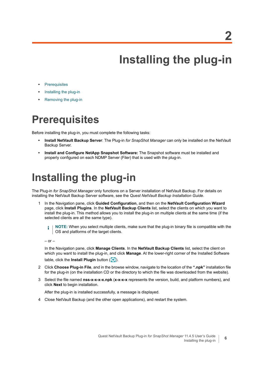**2**

**6**

# **Installing the plug-in**

- <span id="page-5-0"></span>**•** [Prerequisites](#page-5-1)
- **•** [Installing the plug-in](#page-5-2)
- **•** [Removing the plug-in](#page-6-0)

# <span id="page-5-1"></span>**Prerequisites**

Before installing the plug-in, you must complete the following tasks:

- **Install NetVault Backup Server**: The Plug-in *for SnapShot Manager* can only be installed on the NetVault Backup Server.
- **Install and Configure NetApp Snapshot Software:** The Snapshot software must be installed and properly configured on each NDMP Server (Filer) that is used with the plug-in.

## <span id="page-5-2"></span>**Installing the plug-in**

The Plug-in *for SnapShot Manager* only functions on a Server installation of NetVault Backup. For details on installing the NetVault Backup Server software, see the *Quest NetVault Backup Installation Guide*.

1 In the Navigation pane, click **Guided Configuration**, and then on the **NetVault Configuration Wizard** page, click **Install Plugins**. In the **NetVault Backup Clients** list, select the clients on which you want to install the plug-in. This method allows you to install the plug-in on multiple clients at the same time (if the selected clients are all the same type).

**NOTE:** When you select multiple clients, make sure that the plug-in binary file is compatible with the i OS and platforms of the target clients.

 $-$  or  $-$ 

In the Navigation pane, click **Manage Clients**. In the **NetVault Backup Clients** list, select the client on which you want to install the plug-in, and click **Manage**. At the lower-right corner of the Installed Software table, click the **Install Plugin** button (**C**).

- 2 Click **Choose Plug-in File**, and in the browse window, navigate to the location of the **".npk"** installation file for the plug-in (on the installation CD or the directory to which the file was downloaded from the website).
- 3 Select the file named **nss-x-x-x-x.npk** (**x-x-x-x** represents the version, build, and platform numbers), and click **Next** to begin installation.

After the plug-in is installed successfully, a message is displayed.

4 Close NetVault Backup (and the other open applications), and restart the system.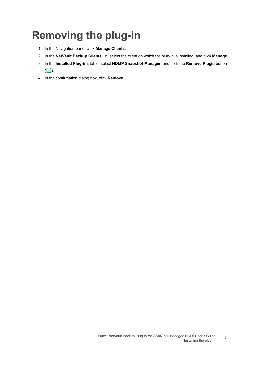# <span id="page-6-0"></span>**Removing the plug-in**

- 1 In the Navigation pane, click **Manage Clients**.
- 2 In the **NetVault Backup Clients** list, select the client on which the plug-in is installed, and click **Manage.**
- 3 In the **Installed Plug-ins** table, select **NDMP Snapshot Manager**, and click the **Remove Plugin** button  $\overline{(\bullet)}$ .
- 4 In the confirmation dialog box, click **Remove**.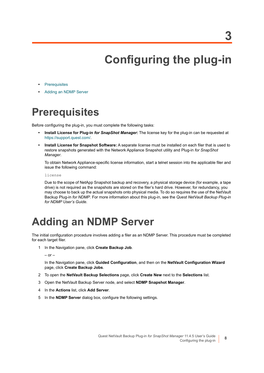**3**

**8**

# **Configuring the plug-in**

- <span id="page-7-0"></span>**•** [Prerequisites](#page-7-1)
- **•** [Adding an NDMP Server](#page-7-2)

# <span id="page-7-1"></span>**Prerequisites**

Before configuring the plug-in, you must complete the following tasks:

- **Install License for Plug-in** *for SnapShot Manager***:** The license key for the plug-in can be requested at <https://support.quest.com/>.
- **Install License for Snapshot Software:** A separate license must be installed on each filer that is used to restore snapshots generated with the Network Appliance Snapshot utility and Plug-in *for SnapShot Manager*.

To obtain Network Appliance-specific license information, start a telnet session into the applicable filer and issue the following command:

license

Due to the scope of NetApp Snapshot backup and recovery, a physical storage device (for example, a tape drive) is not required as the snapshots are stored on the filer's hard drive. However, for redundancy, you may choose to back up the actual snapshots onto physical media. To do so requires the use of the NetVault Backup Plug-in *for NDMP*. For more information about this plug-in, see the *Quest NetVault Backup Plug-in for NDMP User's Guide*.

### <span id="page-7-2"></span>**Adding an NDMP Server**

The initial configuration procedure involves adding a filer as an NDMP Server. This procedure must be completed for each target filer.

1 In the Navigation pane, click **Create Backup Job**.

 $-$  or  $-$ 

In the Navigation pane, click **Guided Configuration**, and then on the **NetVault Configuration Wizard** page, click **Create Backup Jobs**.

- 2 To open the **NetVault Backup Selections** page, click **Create New** next to the **Selections** list.
- 3 Open the NetVault Backup Server node, and select **NDMP Snapshot Manager**.
- 4 In the **Actions** list, click **Add Server**.
- 5 In the **NDMP Server** dialog box, configure the following settings.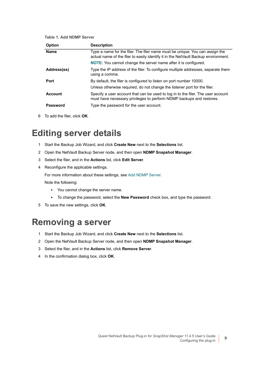#### **Table 1. Add NDMP Server**

| <b>Option</b>   | <b>Description</b>                                                                                                                                                 |
|-----------------|--------------------------------------------------------------------------------------------------------------------------------------------------------------------|
| <b>Name</b>     | Type a name for the filer. The filer name must be unique. You can assign the<br>actual name of the filer to easily identify it in the NetVault Backup environment. |
|                 | <b>NOTE:</b> You cannot change the server name after it is configured.                                                                                             |
| Address(es)     | Type the IP address of the filer. To configure multiple addresses, separate them<br>using a comma.                                                                 |
| Port            | By default, the filer is configured to listen on port number 10000.                                                                                                |
|                 | Unless otherwise required, do not change the listener port for the filer.                                                                                          |
| <b>Account</b>  | Specify a user account that can be used to log in to the filer. The user account<br>must have necessary privileges to perform NDMP backups and restores.           |
| <b>Password</b> | Type the password for the user account.                                                                                                                            |

6 To add the filer, click **OK**.

### <span id="page-8-0"></span>**Editing server details**

- 1 Start the Backup Job Wizard, and click **Create New** next to the **Selections** list.
- 2 Open the NetVault Backup Server node, and then open **NDMP Snapshot Manager**.
- 3 Select the filer, and in the **Actions** list, click **Edit Server**.
- 4 Reconfigure the applicable settings.

For more information about these settings, see Add NDMP Server.

Note the following:

- **▪** You cannot change the server name.
- **▪** To change the password, select the **New Password** check box, and type the password.
- 5 To save the new settings, click **OK**.

### <span id="page-8-1"></span>**Removing a server**

- 1 Start the Backup Job Wizard, and click **Create New** next to the **Selections** list.
- 2 Open the NetVault Backup Server node, and then open **NDMP Snapshot Manager**.
- 3 Select the filer, and in the **Actions** list, click **Remove Server**.
- 4 In the confirmation dialog box, click **OK**.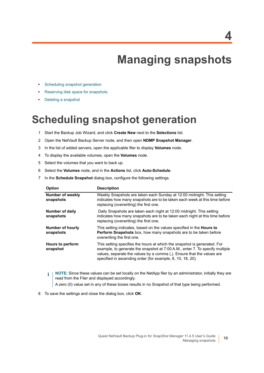# **Managing snapshots**

- <span id="page-9-0"></span>**•** [Scheduling snapshot generation](#page-9-1)
- **•** [Reserving disk space for snapshots](#page-10-0)
- **•** [Deleting a snapshot](#page-11-0)

### <span id="page-9-1"></span>**Scheduling snapshot generation**

- <span id="page-9-2"></span>1 Start the Backup Job Wizard, and click **Create New** next to the **Selections** list.
- 2 Open the NetVault Backup Server node, and then open **NDMP Snapshot Manager**.
- 3 In the list of added servers, open the applicable filer to display **Volumes** node.
- 4 To display the available volumes, open the **Volumes** node.
- <span id="page-9-3"></span>5 Select the volumes that you want to back up.
- 6 Select the **Volumes** node, and in the **Actions** list, click **Auto-Schedule**.
- 7 In the **Schedule Snapshot** dialog box, configure the following settings.

| <b>Option</b>                        | <b>Description</b>                                                                                                                                                                                                                                                                               |
|--------------------------------------|--------------------------------------------------------------------------------------------------------------------------------------------------------------------------------------------------------------------------------------------------------------------------------------------------|
| <b>Number of weekly</b><br>snapshots | Weekly Snapshots are taken each Sunday at 12:00 midnight. This setting<br>indicates how many snapshots are to be taken each week at this time before<br>replacing (overwriting) the first one.                                                                                                   |
| Number of daily<br>snapshots         | Daily Snapshots are taken each night at 12:00 midnight. This setting<br>indicates how many snapshots are to be taken each night at this time before<br>replacing (overwriting) the first one.                                                                                                    |
| Number of hourly<br>snapshots        | This setting indicates, based on the values specified in the <b>Hours to</b><br><b>Perform Snapshots</b> box, how many snapshots are to be taken before<br>overwriting the first one.                                                                                                            |
| Hours to perform<br>snapshot         | This setting specifies the hours at which the snapshot is generated. For<br>example, to generate the snapshot at 7:00 A.M., enter 7. To specify multiple<br>values, separate the values by a comma (,). Ensure that the values are<br>specified in ascending order (for example, 8, 10, 18, 20). |

**NOTE:** Since these values can be set locally on the NetApp filer by an administrator, initially they are  $\mathbf{i}$ read from the Filer and displayed accordingly.

A zero (0) value set in any of these boxes results in no Snapshot of that type being performed.

8 To save the settings and close the dialog box, click **OK**.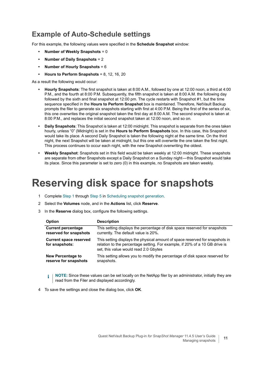### **Example of Auto-Schedule settings**

For this example, the following values were specified in the **Schedule Snapshot** window:

- **Number of Weekly Snapshots** = 0
- **Number of Daily Snapshots** = 2
- **Number of Hourly Snapshots** = 6
- **Hours to Perform Snapshots** = 8, 12, 16, 20

As a result the following would occur:

- **Hourly Snapshots**: The first snapshot is taken at 8:00 A.M., followed by one at 12:00 noon, a third at 4:00 P.M., and the fourth at 8:00 P.M. Subsequently, the fifth snapshot is taken at 8:00 A.M. the following day followed by the sixth and final snapshot at 12:00 pm. The cycle restarts with Snapshot #1, but the time sequence specified in the **Hours to Perform Snapshot** box is maintained. Therefore, NetVault Backup prompts the filer to generate six snapshots starting with first at 4:00 P.M. Being the first of the series of six, this one overwrites the original snapshot taken the first day at 8:00 A.M. The second snapshot is taken at 8:00 P.M., and replaces the initial second snapshot taken at 12:00 noon, and so on.
- **Daily Snapshots**: This Snapshot is taken at 12:00 midnight. This snapshot is separate from the ones taken hourly, unless "0" (Midnight) is set in the **Hours to Perform Snapshots** box. In this case, this Snapshot would take its place. A second Daily Snapshot is taken the following night at the same time. On the third night, the next Snapshot will be taken at midnight, but this one will overwrite the one taken the first night. This process continues to occur each night, with the new Snapshot overwriting the oldest.
- **Weekly Snapshot**: Snapshots set in this field would be taken weekly at 12:00 midnight. These snapshots are separate from other Snapshots except a Daily Snapshot on a Sunday night — this Snapshot would take its place. Since this parameter is set to zero (0) in this example, no Snapshots are taken weekly.

### <span id="page-10-0"></span>**Reserving disk space for snapshots**

- 1 Complete [Step 1](#page-9-2) through [Step 5](#page-9-3) in [Scheduling snapshot generation.](#page-9-1)
- 2 Select the **Volumes** node, and in the **Actions** list, click **Reserve**.
- 3 In the **Reserve** dialog box, configure the following settings.

| <b>Option</b>                                   | <b>Description</b>                                                                                                                                                                                   |
|-------------------------------------------------|------------------------------------------------------------------------------------------------------------------------------------------------------------------------------------------------------|
| <b>Current percentage</b>                       | This setting displays the percentage of disk space reserved for snapshots                                                                                                                            |
| reserved for snapshots                          | currently. The default value is 20%.                                                                                                                                                                 |
| <b>Current space reserved</b><br>for snapshots: | This setting displays the physical amount of space reserved for snapshots in<br>relation to the percentage setting. For example, if 20% of a 10 GB drive is<br>set, this value would read 2.0 Gbytes |
| New Percentage to                               | This setting allows you to modify the percentage of disk space reserved for                                                                                                                          |
| reserve for snapshots                           | snapshots.                                                                                                                                                                                           |

**NOTE:** Since these values can be set locally on the NetApp filer by an administrator, initially they are i read from the Filer and displayed accordingly.

4 To save the settings and close the dialog box, click **OK**.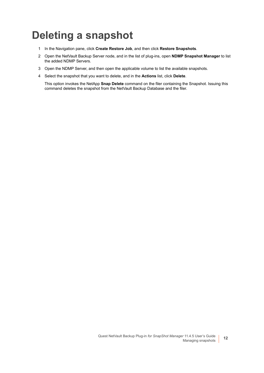### <span id="page-11-0"></span>**Deleting a snapshot**

- 1 In the Navigation pane, click **Create Restore Job**, and then click **Restore Snapshots**.
- 2 Open the NetVault Backup Server node, and in the list of plug-ins, open **NDMP Snapshot Manager** to list the added NDMP Servers.
- 3 Open the NDMP Server, and then open the applicable volume to list the available snapshots.
- 4 Select the snapshot that you want to delete, and in the **Actions** list, click **Delete**.

This option invokes the NetApp **Snap Delete** command on the filer containing the Snapshot. Issuing this command deletes the snapshot from the NetVault Backup Database and the filer.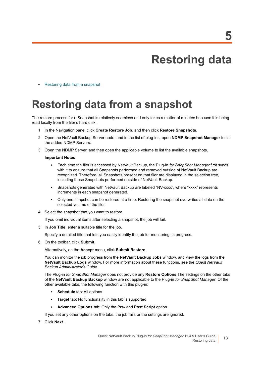# **Restoring data**

<span id="page-12-0"></span>**•** [Restoring data from a snapshot](#page-12-1)

### <span id="page-12-1"></span>**Restoring data from a snapshot**

The restore process for a Snapshot is relatively seamless and only takes a matter of minutes because it is being read locally from the filer's hard disk.

- 1 In the Navigation pane, click **Create Restore Job**, and then click **Restore Snapshots**.
- 2 Open the NetVault Backup Server node, and in the list of plug-ins, open **NDMP Snapshot Manager** to list the added NDMP Servers.
- 3 Open the NDMP Server, and then open the applicable volume to list the available snapshots.

#### **Important Notes**

- **▪** Each time the filer is accessed by NetVault Backup, the Plug-in *for SnapShot Manager* first syncs with it to ensure that all Snapshots performed and removed outside of NetVault Backup are recognized. Therefore, all Snapshots present on that filer are displayed in the selection tree, including those Snapshots performed outside of NetVault Backup.
- **Snapshots generated with NetVault Backup are labeled "NV-xxxx", where "xxxx" represents** increments in each snapshot generated.
- **▪** Only one snapshot can be restored at a time. Restoring the snapshot overwrites all data on the selected volume of the filer.
- 4 Select the snapshot that you want to restore.

If you omit individual items after selecting a snapshot, the job will fail.

5 In **Job Title**, enter a suitable title for the job.

Specify a detailed title that lets you easily identify the job for monitoring its progress.

6 On the toolbar, click **Submit**.

Alternatively, on the **Accept** menu, click **Submit Restore**.

You can monitor the job progress from the **NetVault Backup Jobs** window, and view the logs from the **NetVault Backup Logs** window. For more information about these functions, see the *Quest NetVault Backup Administrator's Guide*.

The Plug-in *for SnapShot Manager* does not provide any **Restore Options** The settings on the other tabs of the **NetVault Backup Backup** window are not applicable to the Plug-in *for SnapShot Manager*. Of the other available tabs, the following function with this plug-in:

- **▪ Schedule** tab: All options
- **▪ Target** tab: No functionality in this tab is supported
- **▪ Advanced Options** tab: Only the **Pre-** and **Post Script** option.

If you set any other options on the tabs, the job fails or the settings are ignored.

7 Click **Next**.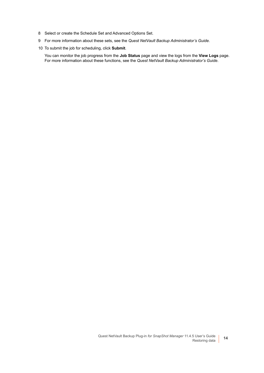- 8 Select or create the Schedule Set and Advanced Options Set.
- 9 For more information about these sets, see the *Quest NetVault Backup Administrator's Guide*.
- 10 To submit the job for scheduling, click **Submit**.

You can monitor the job progress from the **Job Status** page and view the logs from the **View Logs** page. For more information about these functions, see the *Quest NetVault Backup Administrator's Guide*.